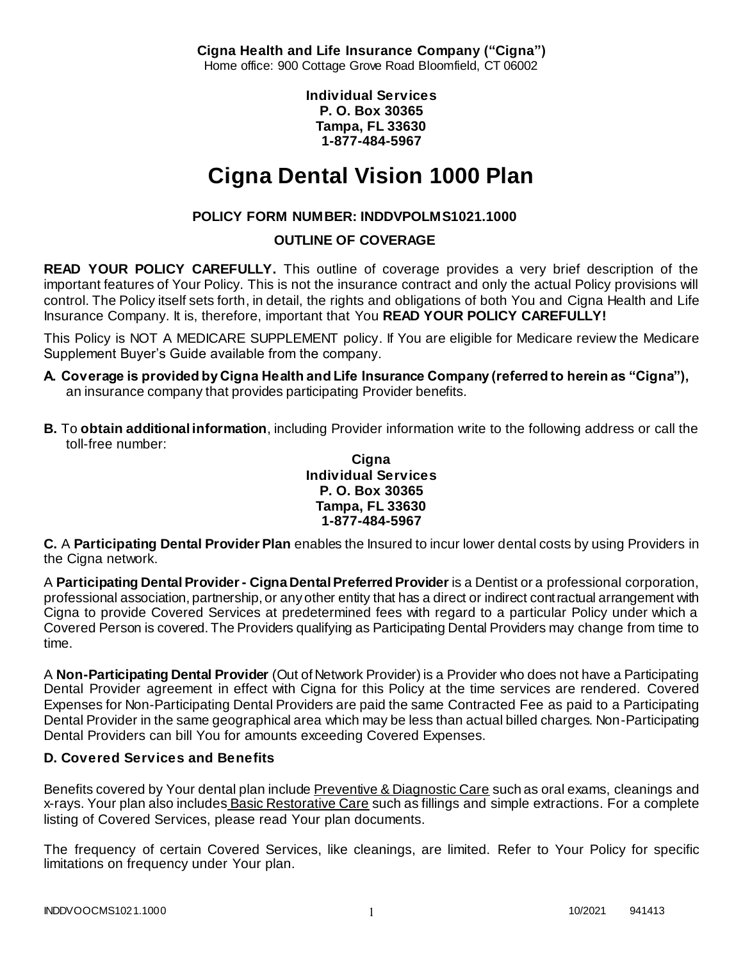**Cigna Health and Life Insurance Company ("Cigna")** Home office: 900 Cottage Grove Road Bloomfield, CT 06002

> **Individual Services P. O. Box 30365 Tampa, FL 33630 1-877-484-5967**

# **Cigna Dental Vision 1000 Plan**

# **POLICY FORM NUMBER: INDDVPOLMS1021.1000**

## **OUTLINE OF COVERAGE**

**READ YOUR POLICY CAREFULLY.** This outline of coverage provides a very brief description of the important features of Your Policy. This is not the insurance contract and only the actual Policy provisions will control. The Policy itself sets forth, in detail, the rights and obligations of both You and Cigna Health and Life Insurance Company. It is, therefore, important that You **READ YOUR POLICY CAREFULLY!** 

This Policy is NOT A MEDICARE SUPPLEMENT policy. If You are eligible for Medicare review the Medicare Supplement Buyer's Guide available from the company.

- **A. Coverage is provided by Cigna Health and Life Insurance Company (referred to herein as "Cigna"),**  an insurance company that provides participating Provider benefits.
- **B.** To **obtain additional information**, including Provider information write to the following address or call the toll-free number:

#### **Cigna Individual Services P. O. Box 30365 Tampa, FL 33630 1-877-484-5967**

**C.** A **Participating Dental Provider Plan** enables the Insured to incur lower dental costs by using Providers in the Cigna network.

A **Participating Dental Provider - Cigna Dental Preferred Provider** is a Dentist or a professional corporation, professional association, partnership, or any other entity that has a direct or indirect contractual arrangement with Cigna to provide Covered Services at predetermined fees with regard to a particular Policy under which a Covered Person is covered. The Providers qualifying as Participating Dental Providers may change from time to time.

A **Non-Participating Dental Provider** (Out of Network Provider) is a Provider who does not have a Participating Dental Provider agreement in effect with Cigna for this Policy at the time services are rendered. Covered Expenses for Non-Participating Dental Providers are paid the same Contracted Fee as paid to a Participating Dental Provider in the same geographical area which may be less than actual billed charges. Non-Participating Dental Providers can bill You for amounts exceeding Covered Expenses.

### **D. Covered Services and Benefits**

Benefits covered by Your dental plan include Preventive & Diagnostic Care such as oral exams, cleanings and x-rays. Your plan also includes Basic Restorative Care such as fillings and simple extractions. For a complete listing of Covered Services, please read Your plan documents.

The frequency of certain Covered Services, like cleanings, are limited. Refer to Your Policy for specific limitations on frequency under Your plan.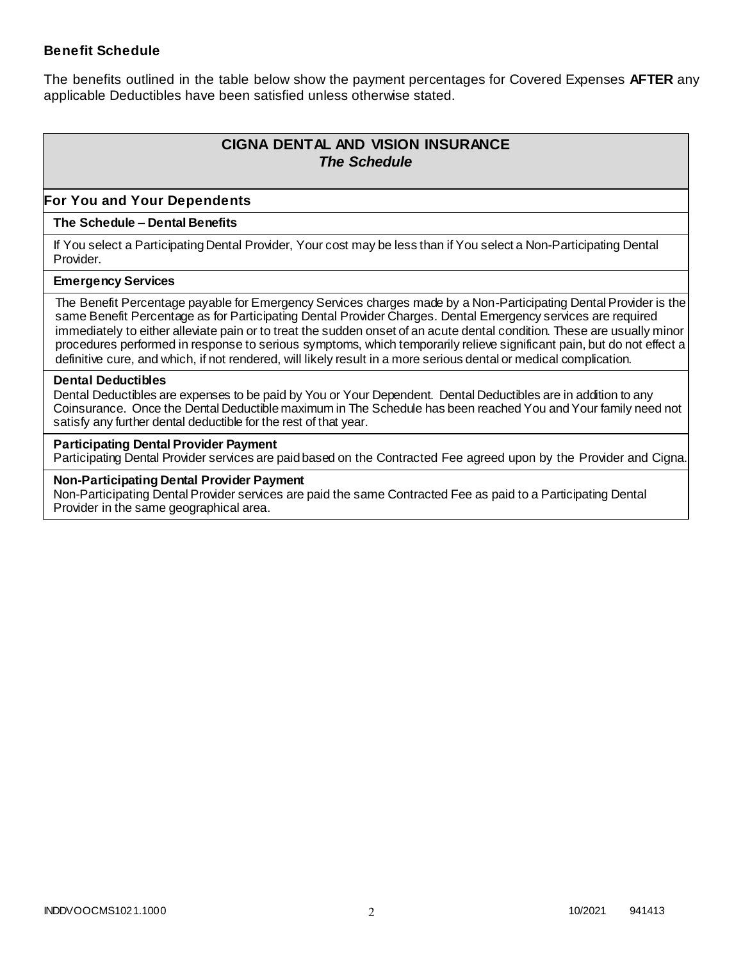### **Benefit Schedule**

The benefits outlined in the table below show the payment percentages for Covered Expenses **AFTER** any applicable Deductibles have been satisfied unless otherwise stated.

# **CIGNA DENTAL AND VISION INSURANCE** *The Schedule*

### **For You and Your Dependents**

#### **The Schedule – Dental Benefits**

If You select a Participating Dental Provider, Your cost may be less than if You select a Non-Participating Dental Provider.

#### **Emergency Services**

The Benefit Percentage payable for Emergency Services charges made by a Non-Participating Dental Provider is the same Benefit Percentage as for Participating Dental Provider Charges. Dental Emergency services are required immediately to either alleviate pain or to treat the sudden onset of an acute dental condition. These are usually minor procedures performed in response to serious symptoms, which temporarily relieve significant pain, but do not effect a definitive cure, and which, if not rendered, will likely result in a more serious dental or medical complication.

#### **Dental Deductibles**

Dental Deductibles are expenses to be paid by You or Your Dependent. Dental Deductibles are in addition to any Coinsurance. Once the Dental Deductible maximum in The Schedule has been reached You and Your family need not satisfy any further dental deductible for the rest of that year.

#### **Participating Dental Provider Payment**

Participating Dental Provider services are paid based on the Contracted Fee agreed upon by the Provider and Cigna.

#### **Non-Participating Dental Provider Payment**

Non-Participating Dental Provider services are paid the same Contracted Fee as paid to a Participating Dental Provider in the same geographical area.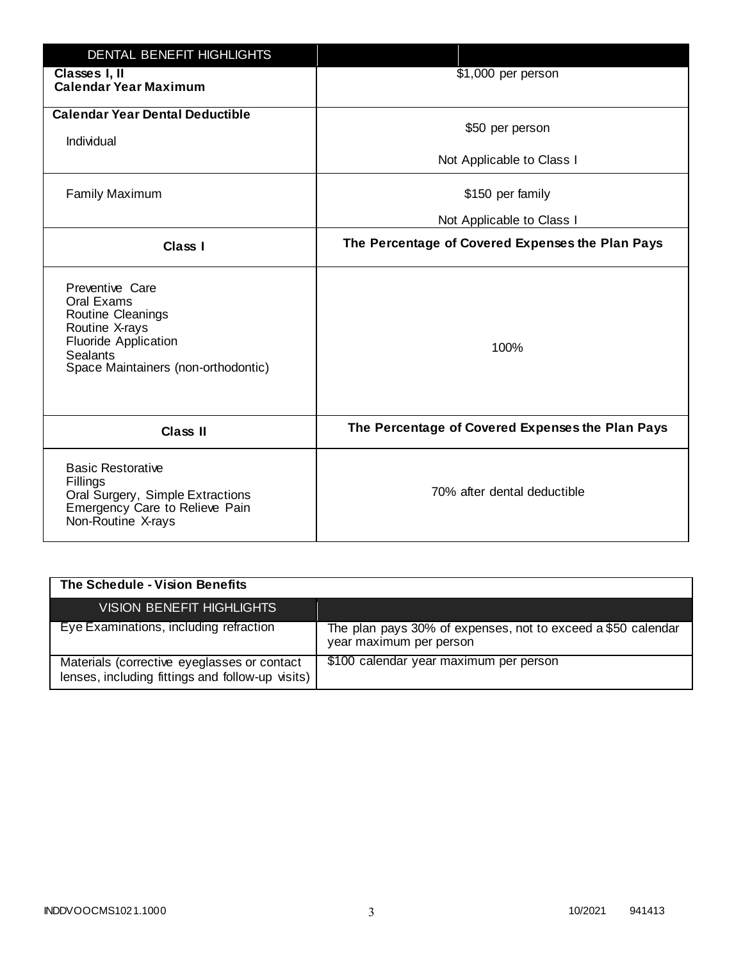| <b>DENTAL BENEFIT HIGHLIGHTS</b>                                                                                                                              |                                                  |
|---------------------------------------------------------------------------------------------------------------------------------------------------------------|--------------------------------------------------|
| Classes I, II<br><b>Calendar Year Maximum</b>                                                                                                                 | \$1,000 per person                               |
| <b>Calendar Year Dental Deductible</b><br>Individual                                                                                                          | \$50 per person                                  |
|                                                                                                                                                               | Not Applicable to Class I                        |
| <b>Family Maximum</b>                                                                                                                                         | \$150 per family                                 |
|                                                                                                                                                               | Not Applicable to Class I                        |
| <b>Class I</b>                                                                                                                                                | The Percentage of Covered Expenses the Plan Pays |
| Preventive Care<br>Oral Exams<br>Routine Cleanings<br>Routine X-rays<br><b>Fluoride Application</b><br><b>Sealants</b><br>Space Maintainers (non-orthodontic) | 100%                                             |
| <b>Class II</b>                                                                                                                                               | The Percentage of Covered Expenses the Plan Pays |
| <b>Basic Restorative</b><br>Fillings<br>Oral Surgery, Simple Extractions<br>Emergency Care to Relieve Pain<br>Non-Routine X-rays                              | 70% after dental deductible                      |

| The Schedule - Vision Benefits                                                                  |                                                                                         |
|-------------------------------------------------------------------------------------------------|-----------------------------------------------------------------------------------------|
| VISION BENEFIT HIGHLIGHTS                                                                       |                                                                                         |
| Eye Examinations, including refraction                                                          | The plan pays 30% of expenses, not to exceed a \$50 calendar<br>year maximum per person |
| Materials (corrective eyeglasses or contact<br>lenses, including fittings and follow-up visits) | \$100 calendar year maximum per person                                                  |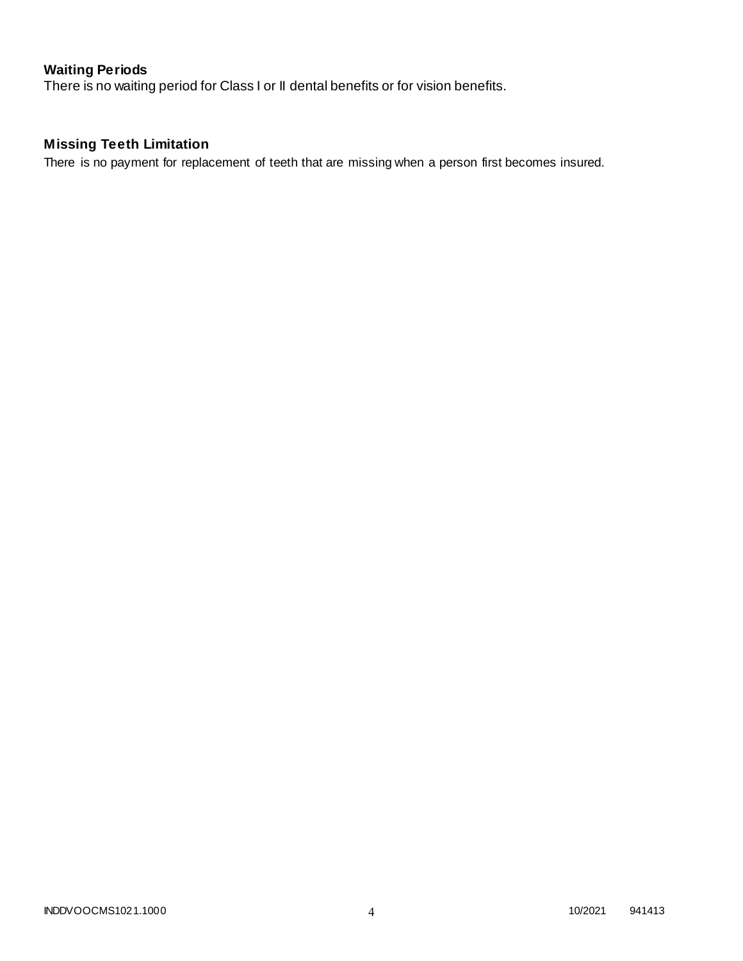# **Waiting Periods**

There is no waiting period for Class I or II dental benefits or for vision benefits.

# **Missing Teeth Limitation**

There is no payment for replacement of teeth that are missing when a person first becomes insured.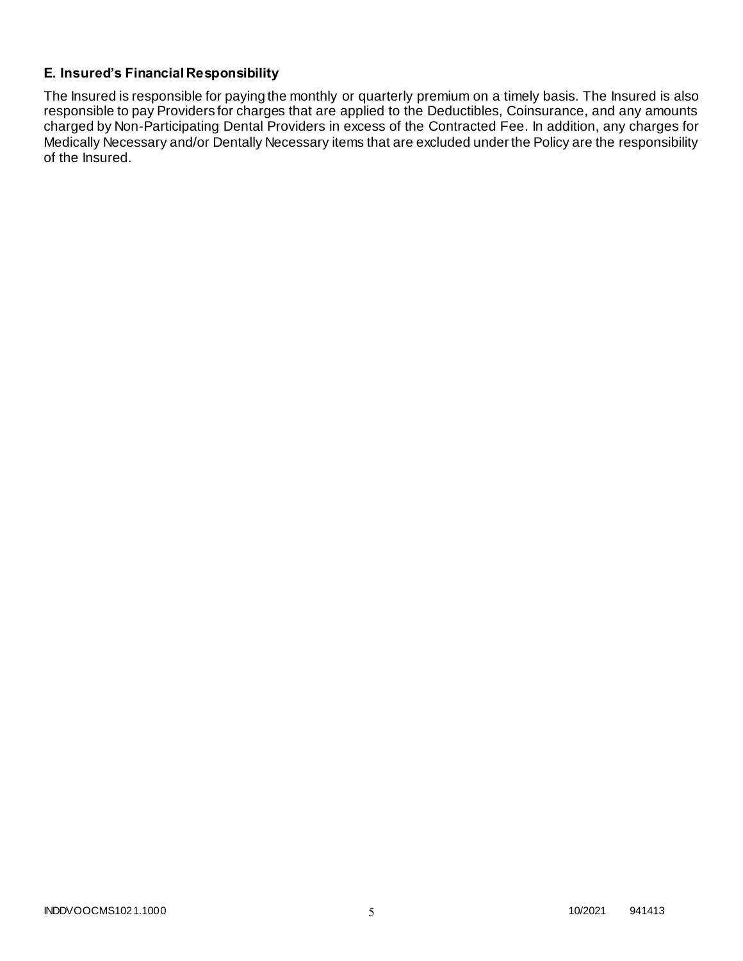## **E. Insured's Financial Responsibility**

The Insured is responsible for paying the monthly or quarterly premium on a timely basis. The Insured is also responsible to pay Providers for charges that are applied to the Deductibles, Coinsurance, and any amounts charged by Non-Participating Dental Providers in excess of the Contracted Fee. In addition, any charges for Medically Necessary and/or Dentally Necessary items that are excluded under the Policy are the responsibility of the Insured.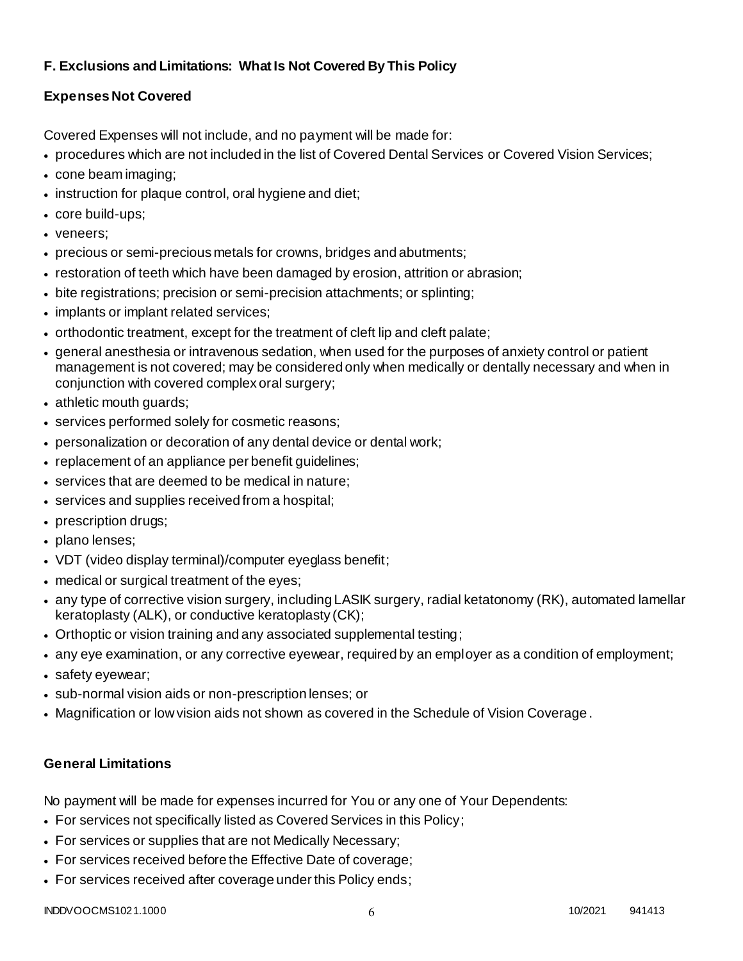## **F. Exclusions and Limitations: What Is Not Covered By This Policy**

# **Expenses Not Covered**

Covered Expenses will not include, and no payment will be made for:

- procedures which are not included in the list of Covered Dental Services or Covered Vision Services;
- cone beam imaging;
- instruction for plaque control, oral hygiene and diet;
- core build-ups;
- veneers;
- precious or semi-precious metals for crowns, bridges and abutments;
- restoration of teeth which have been damaged by erosion, attrition or abrasion;
- bite registrations; precision or semi-precision attachments; or splinting;
- implants or implant related services;
- orthodontic treatment, except for the treatment of cleft lip and cleft palate;
- general anesthesia or intravenous sedation, when used for the purposes of anxiety control or patient management is not covered; may be considered only when medically or dentally necessary and when in conjunction with covered complex oral surgery;
- athletic mouth guards;
- services performed solely for cosmetic reasons;
- personalization or decoration of any dental device or dental work;
- replacement of an appliance per benefit quidelines;
- services that are deemed to be medical in nature;
- services and supplies received from a hospital;
- prescription drugs;
- plano lenses;
- VDT (video display terminal)/computer eyeglass benefit;
- medical or surgical treatment of the eyes;
- any type of corrective vision surgery, including LASIK surgery, radial ketatonomy (RK), automated lamellar keratoplasty (ALK), or conductive keratoplasty (CK);
- Orthoptic or vision training and any associated supplemental testing;
- any eye examination, or any corrective eyewear, required by an employer as a condition of employment;
- safety eyewear;
- sub-normal vision aids or non-prescription lenses; or
- Magnification or low vision aids not shown as covered in the Schedule of Vision Coverage.

# **General Limitations**

No payment will be made for expenses incurred for You or any one of Your Dependents:

- For services not specifically listed as Covered Services in this Policy;
- For services or supplies that are not Medically Necessary;
- For services received before the Effective Date of coverage;
- For services received after coverage under this Policy ends;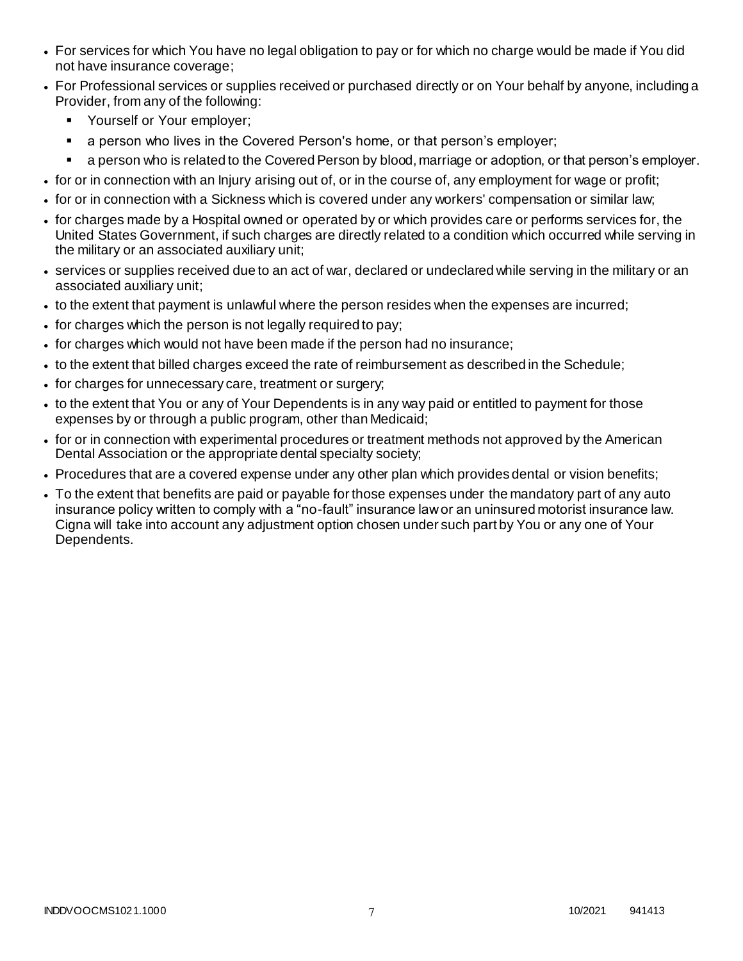- For services for which You have no legal obligation to pay or for which no charge would be made if You did not have insurance coverage;
- For Professional services or supplies received or purchased directly or on Your behalf by anyone, including a Provider, from any of the following:
	- **Yourself or Your employer;**
	- **a** person who lives in the Covered Person's home, or that person's employer;
	- a person who is related to the Covered Person by blood, marriage or adoption, or that person's employer.
- for or in connection with an Injury arising out of, or in the course of, any employment for wage or profit;
- for or in connection with a Sickness which is covered under any workers' compensation or similar law;
- for charges made by a Hospital owned or operated by or which provides care or performs services for, the United States Government, if such charges are directly related to a condition which occurred while serving in the military or an associated auxiliary unit;
- services or supplies received due to an act of war, declared or undeclared while serving in the military or an associated auxiliary unit;
- to the extent that payment is unlawful where the person resides when the expenses are incurred;
- for charges which the person is not legally required to pay;
- for charges which would not have been made if the person had no insurance;
- to the extent that billed charges exceed the rate of reimbursement as described in the Schedule;
- for charges for unnecessary care, treatment or surgery;
- to the extent that You or any of Your Dependents is in any way paid or entitled to payment for those expenses by or through a public program, other than Medicaid;
- for or in connection with experimental procedures or treatment methods not approved by the American Dental Association or the appropriate dental specialty society;
- Procedures that are a covered expense under any other plan which provides dental or vision benefits;
- To the extent that benefits are paid or payable for those expenses under the mandatory part of any auto insurance policy written to comply with a "no-fault" insurance law or an uninsured motorist insurance law. Cigna will take into account any adjustment option chosen under such part by You or any one of Your Dependents.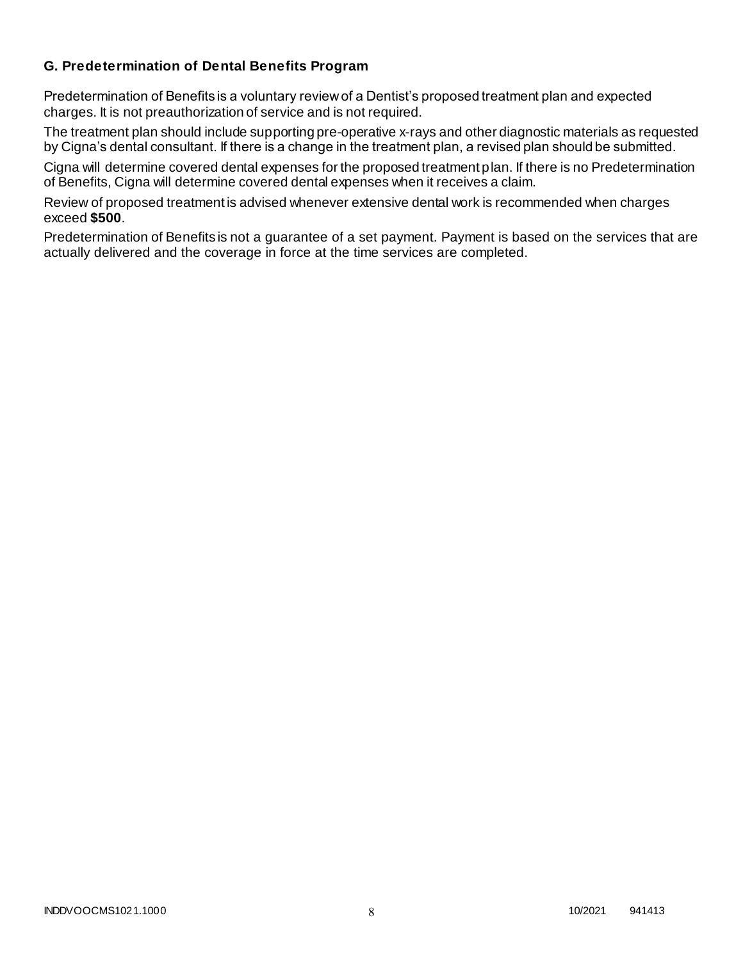### **G. Predetermination of Dental Benefits Program**

Predetermination of Benefits is a voluntary review of a Dentist's proposed treatment plan and expected charges. It is not preauthorization of service and is not required.

The treatment plan should include supporting pre-operative x-rays and other diagnostic materials as requested by Cigna's dental consultant. If there is a change in the treatment plan, a revised plan should be submitted.

Cigna will determine covered dental expenses for the proposed treatment plan. If there is no Predetermination of Benefits, Cigna will determine covered dental expenses when it receives a claim.

Review of proposed treatment is advised whenever extensive dental work is recommended when charges exceed **\$500**.

Predetermination of Benefits is not a guarantee of a set payment. Payment is based on the services that are actually delivered and the coverage in force at the time services are completed.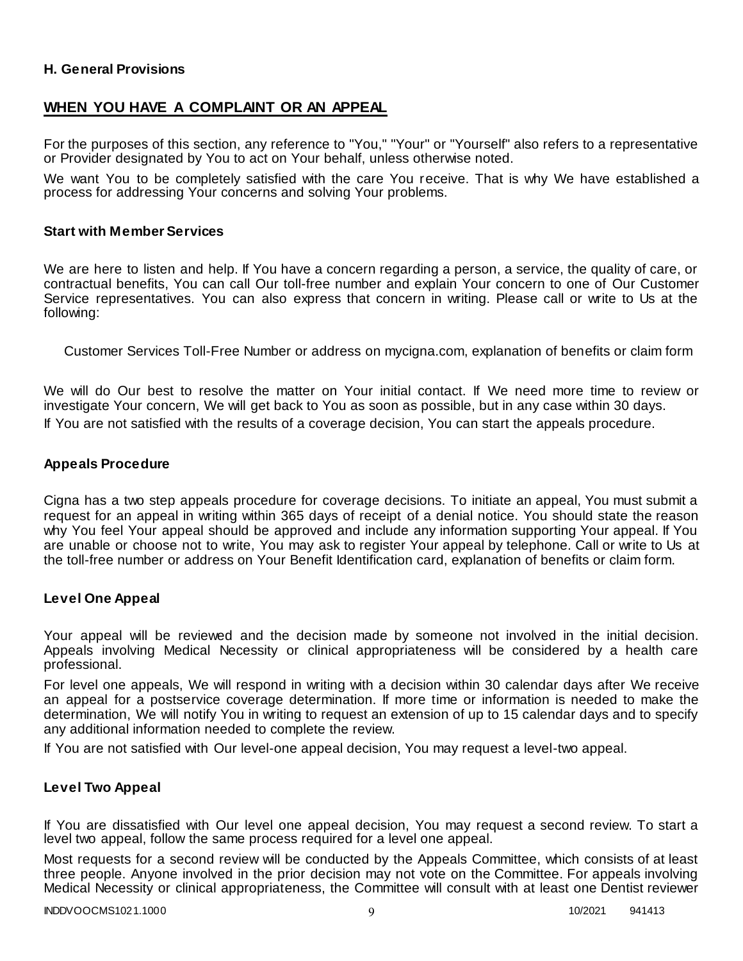### **H. General Provisions**

### **WHEN YOU HAVE A COMPLAINT OR AN APPEAL**

For the purposes of this section, any reference to "You," "Your" or "Yourself" also refers to a representative or Provider designated by You to act on Your behalf, unless otherwise noted.

We want You to be completely satisfied with the care You receive. That is why We have established a process for addressing Your concerns and solving Your problems.

#### **Start with Member Services**

We are here to listen and help. If You have a concern regarding a person, a service, the quality of care, or contractual benefits, You can call Our toll-free number and explain Your concern to one of Our Customer Service representatives. You can also express that concern in writing. Please call or write to Us at the following:

Customer Services Toll-Free Number or address on mycigna.com, explanation of benefits or claim form

We will do Our best to resolve the matter on Your initial contact. If We need more time to review or investigate Your concern, We will get back to You as soon as possible, but in any case within 30 days. If You are not satisfied with the results of a coverage decision, You can start the appeals procedure.

#### **Appeals Procedure**

Cigna has a two step appeals procedure for coverage decisions. To initiate an appeal, You must submit a request for an appeal in writing within 365 days of receipt of a denial notice. You should state the reason why You feel Your appeal should be approved and include any information supporting Your appeal. If You are unable or choose not to write, You may ask to register Your appeal by telephone. Call or write to Us at the toll-free number or address on Your Benefit Identification card, explanation of benefits or claim form.

#### **Level One Appeal**

Your appeal will be reviewed and the decision made by someone not involved in the initial decision. Appeals involving Medical Necessity or clinical appropriateness will be considered by a health care professional.

For level one appeals, We will respond in writing with a decision within 30 calendar days after We receive an appeal for a postservice coverage determination. If more time or information is needed to make the determination, We will notify You in writing to request an extension of up to 15 calendar days and to specify any additional information needed to complete the review.

If You are not satisfied with Our level-one appeal decision, You may request a level-two appeal.

#### **Level Two Appeal**

If You are dissatisfied with Our level one appeal decision, You may request a second review. To start a level two appeal, follow the same process required for a level one appeal.

Most requests for a second review will be conducted by the Appeals Committee, which consists of at least three people. Anyone involved in the prior decision may not vote on the Committee. For appeals involving Medical Necessity or clinical appropriateness, the Committee will consult with at least one Dentist reviewer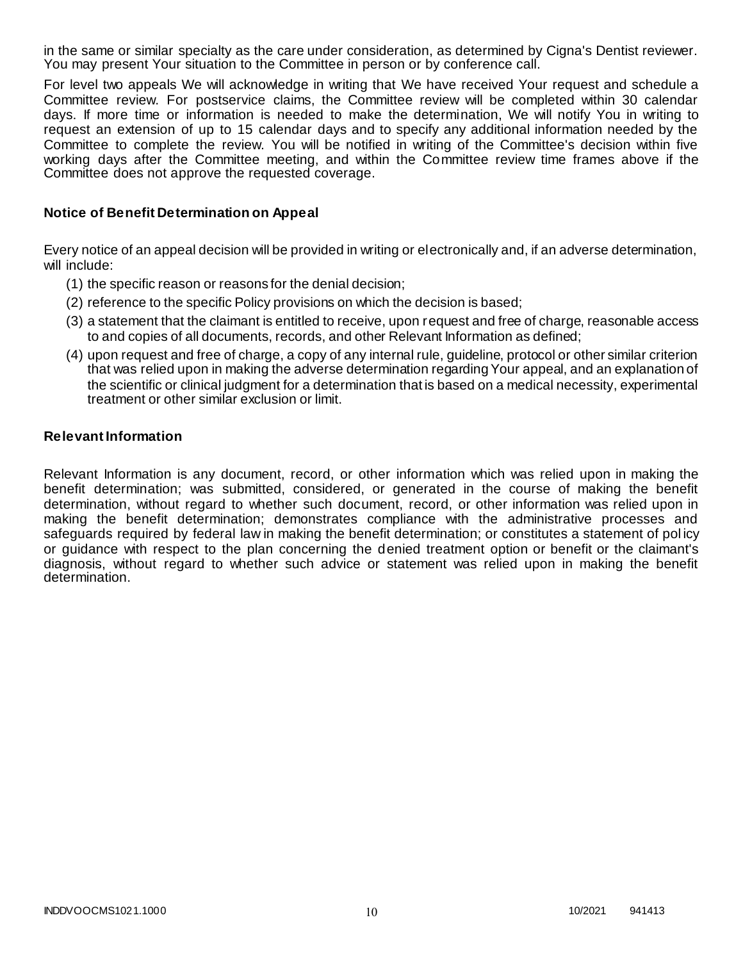in the same or similar specialty as the care under consideration, as determined by Cigna's Dentist reviewer. You may present Your situation to the Committee in person or by conference call.

For level two appeals We will acknowledge in writing that We have received Your request and schedule a Committee review. For postservice claims, the Committee review will be completed within 30 calendar days. If more time or information is needed to make the determination, We will notify You in writing to request an extension of up to 15 calendar days and to specify any additional information needed by the Committee to complete the review. You will be notified in writing of the Committee's decision within five working days after the Committee meeting, and within the Committee review time frames above if the Committee does not approve the requested coverage.

#### **Notice of Benefit Determination on Appeal**

Every notice of an appeal decision will be provided in writing or electronically and, if an adverse determination, will include:

- (1) the specific reason or reasons for the denial decision;
- (2) reference to the specific Policy provisions on which the decision is based;
- (3) a statement that the claimant is entitled to receive, upon request and free of charge, reasonable access to and copies of all documents, records, and other Relevant Information as defined;
- (4) upon request and free of charge, a copy of any internal rule, guideline, protocol or other similar criterion that was relied upon in making the adverse determination regarding Your appeal, and an explanation of the scientific or clinical judgment for a determination that is based on a medical necessity, experimental treatment or other similar exclusion or limit.

#### **Relevant Information**

Relevant Information is any document, record, or other information which was relied upon in making the benefit determination; was submitted, considered, or generated in the course of making the benefit determination, without regard to whether such document, record, or other information was relied upon in making the benefit determination; demonstrates compliance with the administrative processes and safeguards required by federal law in making the benefit determination; or constitutes a statement of pol icy or guidance with respect to the plan concerning the denied treatment option or benefit or the claimant's diagnosis, without regard to whether such advice or statement was relied upon in making the benefit determination.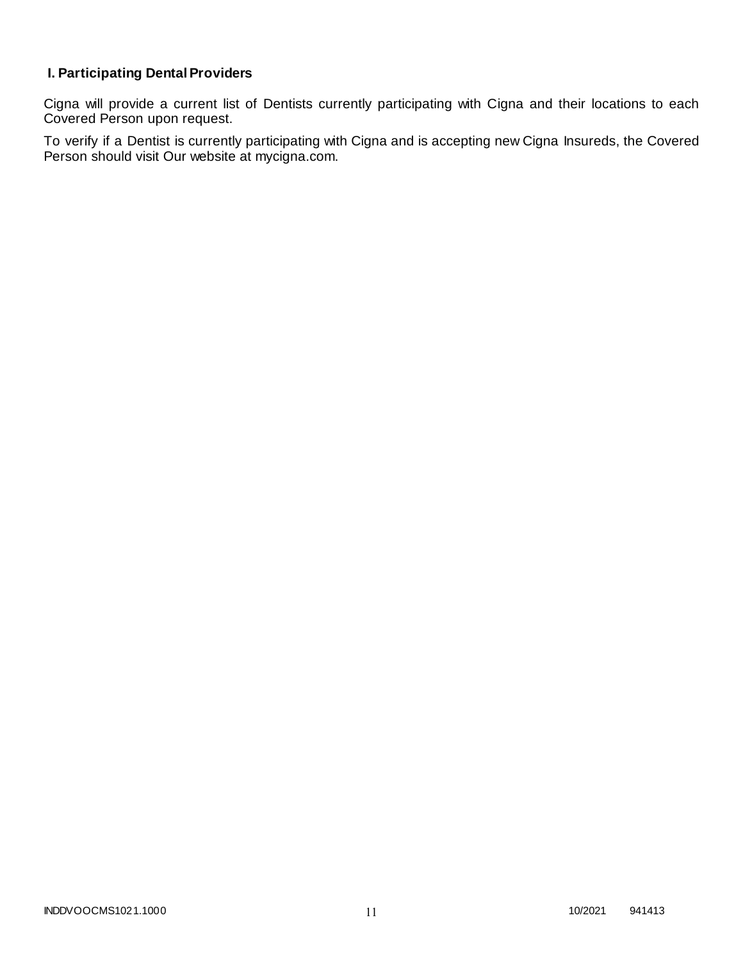# **I. Participating Dental Providers**

Cigna will provide a current list of Dentists currently participating with Cigna and their locations to each Covered Person upon request.

To verify if a Dentist is currently participating with Cigna and is accepting new Cigna Insureds, the Covered Person should visit Our website at mycigna.com.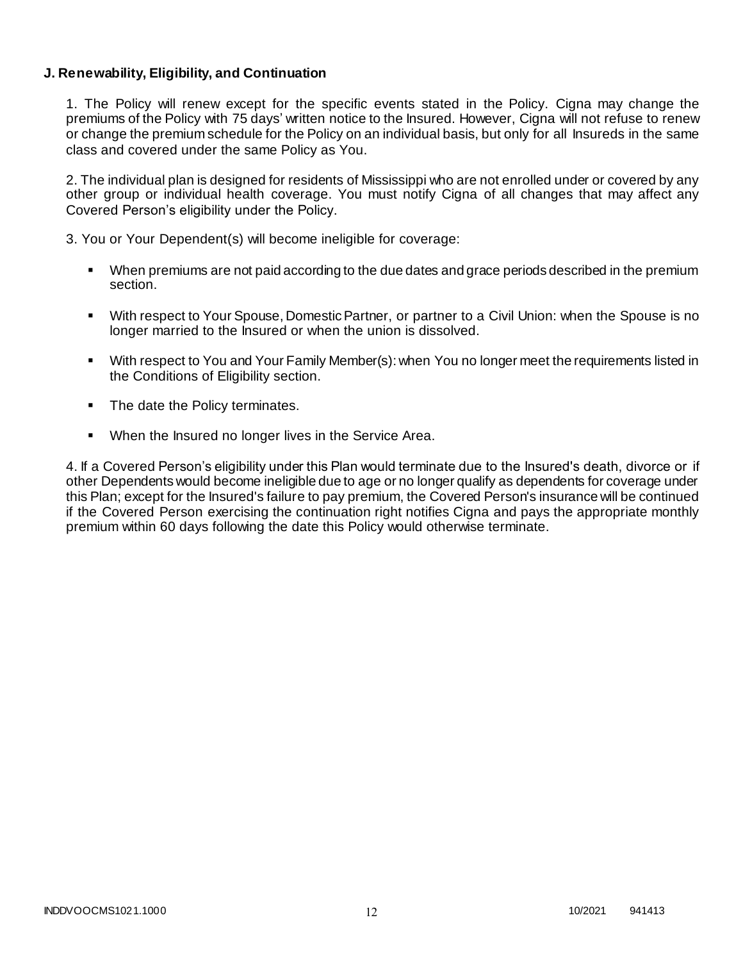### **J. Renewability, Eligibility, and Continuation**

1. The Policy will renew except for the specific events stated in the Policy. Cigna may change the premiums of the Policy with 75 days' written notice to the Insured. However, Cigna will not refuse to renew or change the premium schedule for the Policy on an individual basis, but only for all Insureds in the same class and covered under the same Policy as You.

2. The individual plan is designed for residents of Mississippi who are not enrolled under or covered by any other group or individual health coverage. You must notify Cigna of all changes that may affect any Covered Person's eligibility under the Policy.

3. You or Your Dependent(s) will become ineligible for coverage:

- When premiums are not paid according to the due dates and grace periods described in the premium section.
- With respect to Your Spouse, Domestic Partner, or partner to a Civil Union: when the Spouse is no longer married to the Insured or when the union is dissolved.
- With respect to You and Your Family Member(s): when You no longer meet the requirements listed in the Conditions of Eligibility section.
- The date the Policy terminates.
- When the Insured no longer lives in the Service Area.

4. If a Covered Person's eligibility under this Plan would terminate due to the Insured's death, divorce or if other Dependents would become ineligible due to age or no longer qualify as dependents for coverage under this Plan; except for the Insured's failure to pay premium, the Covered Person's insurance will be continued if the Covered Person exercising the continuation right notifies Cigna and pays the appropriate monthly premium within 60 days following the date this Policy would otherwise terminate.